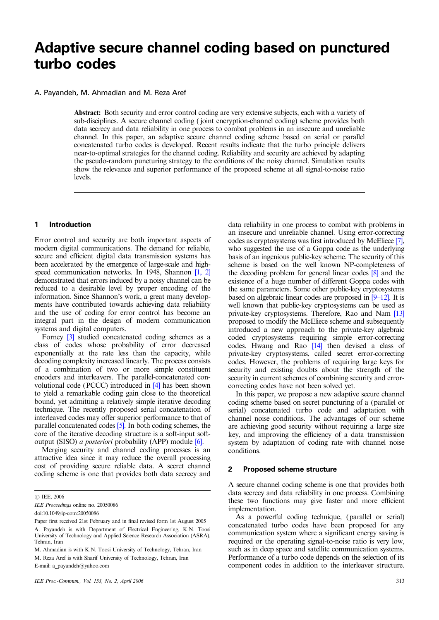# **Adaptive secure channel coding based on punctured turbo codes**

# A. Payandeh, M. Ahmadian and M. Reza Aref

Abstract: Both security and error control coding are very extensive subjects, each with a variety of sub-disciplines. A secure channel coding ( joint encryption-channel coding) scheme provides both data secrecy and data reliability in one process to combat problems in an insecure and unreliable channel. In this paper, an adaptive secure channel coding scheme based on serial or parallel concatenated turbo codes is developed. Recent results indicate that the turbo principle delivers near-to-optimal strategies for the channel coding. Reliability and security are achieved by adapting the pseudo-random puncturing strategy to the conditions of the noisy channel. Simulation results show the relevance and superior performance of the proposed scheme at all signal-to-noise ratio levels.

## **1 Introduction**

Error control and security are both important aspects of modern digital communications. The demand for reliable, secure and efficient digital data transmission systems has been accelerated by the emergence of large-scale and highspeed communication networks. In 1948, Shannon [1, 2] demonstrated that errors induced by a noisy channel can be reduced to a desirable level by proper encoding of the information. Since Shannon's work, a great many developments have contributed towards achieving data reliability and the use of coding for error control has become an integral part in the design of modern communication systems and digital computers.

Forney [3] studied concatenated coding schemes as a class of codes whose probability of error decreased exponentially at the rate less than the capacity, while decoding complexity increased linearly. The process consists of a combination of two or more simple constituent encoders and interleavers. The parallel-concatenated convolutional code (PCCC) introduced in [4] has been shown to yield a remarkable coding gain close to the theoretical bound, yet admitting a relatively simple iterative decoding technique. The recently proposed serial concatenation of interleaved codes may offer superior performance to that of parallel concatenated codes [5]. In both coding schemes, the core of the iterative decoding structure is a soft-input softoutput (SISO) a posteriori probability (APP) module [6].

Merging security and channel coding processes is an attractive idea since it may reduce the overall processing cost of providing secure reliable data. A secret channel coding scheme is one that provides both data secrecy and data reliability in one process to combat with problems in an insecure and unreliable channel. Using error-correcting codes as cryptosystems was first introduced by McEliece [7], who suggested the use of a Goppa code as the underlying basis of an ingenious public-key scheme. The security of this scheme is based on the well known NP-completeness of the decoding problem for general linear codes [8] and the existence of a huge number of different Goppa codes with the same parameters. Some other public-key cryptosystems based on algebraic linear codes are proposed in [9–12]. It is well known that public-key cryptosystems can be used as private-key cryptosystems. Therefore, Rao and Nam [13] proposed to modify the McEliece scheme and subsequently introduced a new approach to the private-key algebraic coded cryptosystems requiring simple error-correcting codes. Hwang and Rao [14] then devised a class of private-key cryptosystems, called secret error-correcting codes. However, the problems of requiring large keys for security and existing doubts about the strength of the security in current schemes of combining security and errorcorrecting codes have not been solved yet.

In this paper, we propose a new adaptive secure channel coding scheme based on secret puncturing of a (parallel or serial) concatenated turbo code and adaptation with channel noise conditions. The advantages of our scheme are achieving good security without requiring a large size key, and improving the efficiency of a data transmission system by adaptation of coding rate with channel noise conditions.

#### **2 Proposed scheme structure**

A secure channel coding scheme is one that provides both data secrecy and data reliability in one process. Combining these two functions may give faster and more efficient implementation.

As a powerful coding technique, (parallel or serial) concatenated turbo codes have been proposed for any communication system where a significant energy saving is required or the operating signal-to-noise ratio is very low, such as in deep space and satellite communication systems. Performance of a turbo code depends on the selection of its E-mail: a\_payandeh@yahoo.com component codes in addition to the interleaver structure.

<sup>©</sup> IEE, 2006

IEE Proceedings online no. 20050086

doi:10.1049/ip-com:20050086

A. Payandeh is with Department of Electrical Engineering, K.N. Toosi University of Technology and Applied Science Research Association (ASRA), Tehran, Iran Paper first received 21st February and in final revised form 1st August 2005

M. Ahmadian is with K.N. Toosi University of Technology, Tehran, Iran M. Reza Aref is with Sharif University of Technology, Tehran, Iran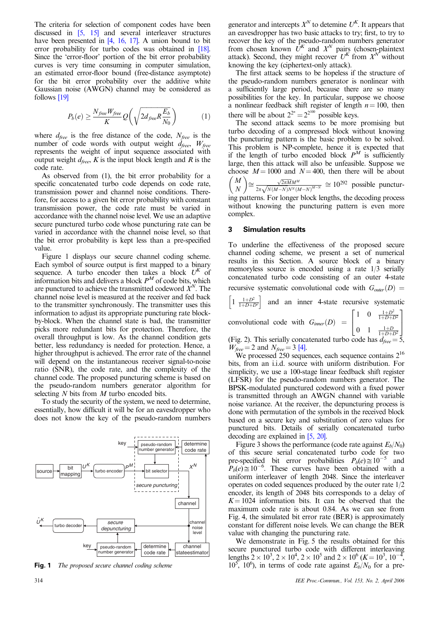The criteria for selection of component codes have been discussed in [5, 15] and several interleaver structures have been presented in [4, 16, 17]. A union bound to bit error probability for turbo codes was obtained in [18]. Since the 'error-floor' portion of the bit error probability curves is very time consuming in computer simulation, an estimated error-floor bound (free-distance asymptote) for the bit error probability over the additive white Gaussian noise (AWGN) channel may be considered as follows [19]

$$
P_b(e) \ge \frac{N_{free}W_{free}}{K} Q\left(\sqrt{2d_{free}R\frac{E_b}{N_0}}\right) \tag{1}
$$

where  $d_{free}$  is the free distance of the code,  $N_{free}$  is the number of code words with output weight  $d_{free}$ ,  $W_{free}$ represents the weight of input sequence associated with output weight  $d_{free}$ , K is the input block length and R is the code rate.

As observed from (1), the bit error probability for a specific concatenated turbo code depends on code rate, transmission power and channel noise conditions. Therefore, for access to a given bit error probability with constant transmission power, the code rate must be varied in accordance with the channel noise level. We use an adaptive secure punctured turbo code whose puncturing rate can be varied in accordance with the channel noise level, so that the bit error probability is kept less than a pre-specified value.

Figure 1 displays our secure channel coding scheme. Each symbol of source output is first mapped to a binary sequence. A turbo encoder then takes a block  $U^{K}$  of information bits and delivers a block  $P^M$  of code bits, which are punctured to achieve the transmitted codeword  $X<sup>N</sup>$ . The channel noise level is measured at the receiver and fed back to the transmitter synchronously. The transmitter uses this information to adjust its appropriate puncturing rate blockby-block. When the channel state is bad, the transmitter picks more redundant bits for protection. Therefore, the overall throughput is low. As the channel condition gets better, less redundancy is needed for protection. Hence, a higher throughput is achieved. The error rate of the channel will depend on the instantaneous receiver signal-to-noise ratio (SNR), the code rate, and the complexity of the channel code. The proposed puncturing scheme is based on the pseudo-random numbers generator algorithm for selecting  $N$  bits from  $M$  turbo encoded bits.

To study the security of the system, we need to determine, essentially, how difficult it will be for an eavesdropper who does not know the key of the pseudo-random numbers



Fig. 1 The proposed secure channel coding scheme

generator and intercepts  $X<sup>N</sup>$  to detemine  $U<sup>K</sup>$ . It appears that an eavesdropper has two basic attacks to try; first, to try to recover the key of the pseudo-random numbers generator from chosen known  $\dot{U}^K$  and  $X^N$  pairs (chosen-plaintext attack). Second, they might recover  $U^{K}$  from  $X^{N}$  without knowing the key (ciphertext-only attack).

The first attack seems to be hopeless if the structure of the pseudo-random numbers generator is nonlinear with a sufficiently large period, because there are so many possibilities for the key. In particular, suppose we choose a nonlinear feedback shift register of length  $n = 100$ , then there will be about  $2^{2^n} = 2^{2^{100}}$  possible keys.

The second attack seems to be more promising but turbo decoding of a compressed block without knowing the puncturing pattern is the basic problem to be solved. This problem is NP-complete, hence it is expected that if the length of turbo encoded block  $P^M$  is sufficiently large, then this attack will also be unfeasible. Suppose we choose  $M = 1000$  and  $N = 400$ , then there will be about *M N*  $\approx \frac{\sqrt{2\pi M}M^M}{2\pi M^M}$  $\frac{\sqrt{2\pi MM^M}}{2\pi\sqrt{N(M-N)N^N(M-N)^{M-N}}} \cong 10^{292}$  possible puncturing patterns. For longer block lengths, the decoding process without knowing the puncturing pattern is even more complex.

## **3 Simulation results**

To underline the effectiveness of the proposed secure channel coding scheme, we present a set of numerical results in this Section. A source block of a binary memoryless source is encoded using a rate 1/3 serially concatenated turbo code consisting of an outer 4-state recursive systematic convolutional code with  $G_{outer}(D)$  $1 \frac{1+D^2}{1+D+D^2}$  $\left| \frac{1 + D^2}{1 + D + D^2} \right|$  and an inner 4-state recursive systematic convolutional code with  $G_{inner}(D)$  = 1 0  $\frac{1+D^2}{1+D+D^2}$ 0 1  $\frac{1+D}{1+D+D^2}$  $\overline{1}$ 4  $\overline{1}$  $\overline{1}$ (Fig. 2). This serially concatenated turbo code has  $d_{\text{free}} = 5$ ,  $W_{\text{free}} = 2$  and  $N_{\text{free}} = 3$  [4].

 $W_{\text{free}} = 2$  and  $N_{\text{free}} = 3$  [4].<br>We processed 250 sequences, each sequence contains 2<sup>16</sup> bits, from an i.i.d. source with uniform distribution. For simplicity, we use a 100-stage linear feedback shift register (LFSR) for the pseudo-random numbers generator. The BPSK-modulated punctured codeword with a fixed power is transmitted through an AWGN channel with variable noise variance. At the receiver, the depuncturing process is done with permutation of the symbols in the received block based on a secure key and substitution of zero values for punctured bits. Details of serially concatenated turbo decoding are explained in [5, 20].

Figure 3 shows the performance (code rate against  $E_b/N_0$ ) of this secure serial concatenated turbo code for two pre-specified bit error probabilities  $P_b(e) \approx 10^{-5}$  and  $P_b(e) \approx 10^{-6}$ . These curves have been obtained with a uniform interleaver of length 2048. Since the interleaver operates on coded sequences produced by the outer rate 1/2 encoder, its length of 2048 bits corresponds to a delay of  $K = 1024$  information bits. It can be observed that the maximum code rate is about 0.84. As we can see from Fig. 4, the simulated bit error rate (BER) is approximately constant for different noise levels. We can change the BER value with changing the puncturing rate.

We demonstrate in Fig. 5 the results obtained for this secure punctured turbo code with different interleaving lengths  $\frac{1}{2} \times 10^3$ ,  $2 \times 10^4$ ,  $2 \times 10^5$  and  $2 \times 10^6$  (K =  $10^3$ ,  $10^{-4}$ ),  $10^5$ ,  $10^6$ ), in terms of code rate against  $E_b/N_0$  for a pre-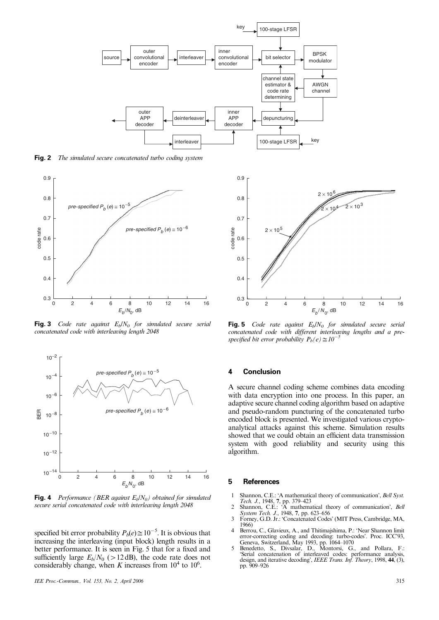

**Fig. 2** The simulated secure concatenated turbo coding system



**Fig. 3** Code rate against  $E_b/N_0$  for simulated secure serial concatenated code with interleaving length 2048



**Fig. 4** Performance (BER against  $E_b/N_0$ ) obtained for simulated secure serial concatenated code with interleaving length 2048

specified bit error probability  $P_b(e) \approx 10^{-5}$ . It is obvious that increasing the interleaving (input block) length results in a better performance. It is seen in Fig. 5 that for a fixed and sufficiently large  $E_b/N_0$  (>12 dB), the code rate does not considerably change, when K increases from  $10^4$  to  $10^6$ .



**Fig. 5** Code rate against  $E_b/N_0$  for simulated secure serial concatenated code with different interleaving lengths and a prespecified bit error probability  $P_b(e) \approx 10^{-1}$ 

## **4 Conclusion**

A secure channel coding scheme combines data encoding with data encryption into one process. In this paper, an adaptive secure channel coding algorithm based on adaptive and pseudo-random puncturing of the concatenated turbo encoded block is presented. We investigated various cryptoanalytical attacks against this scheme. Simulation results showed that we could obtain an efficient data transmission system with good reliability and security using this algorithm.

#### **5 References**

- 1 Shannon, C.E.: 'A mathematical theory of communication', Bell Syst.
- Tech. J., 1948, 7, pp. 379–423<br>
2 Shannon, C.E.: 'A mathematical theory of communication', *Bell*<br>
System Tech. J., 1948, 7, pp. 623–656<br>
3 Forney, G.D. Jr.: 'Concatenated Codes' (MIT Press, Cambridge, MA,
- 1966)
- 4 Berrou, C., Glavieux, A., and Thitimajshima, P.: 'Near Shannon limit
- error-correcting coding and decoding: turbo-codes'. Proc. ICC'93,<br>Geneva, Switzerland, May 1993, pp. 1064–1070<br>5 Benedetto, S., Divsalar, D., Montorsi, G., and Pollara, F.:<br>'Serial concatenation of interleaved codes: perfo pp. 909–926